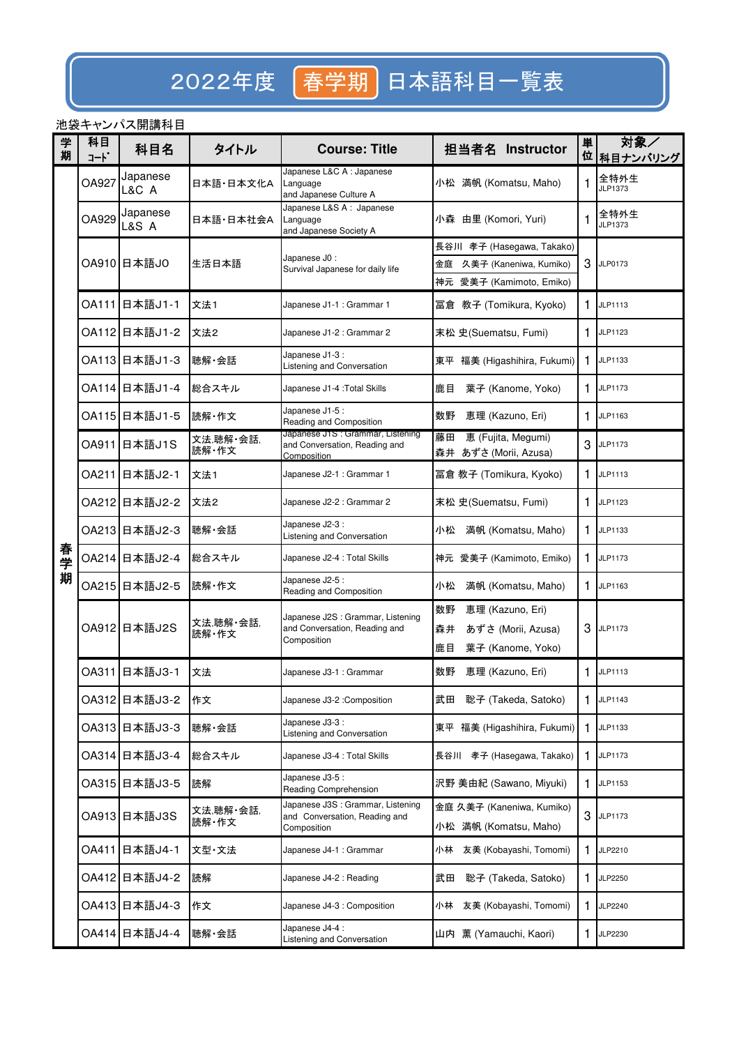# 2022年度 再学期 日本語科目一覧表

## 池袋キャンパス開講科目

| 学<br>期 | 科目<br>コート | 科目名               | タイトル               | <b>Course: Title</b>                                                              | 担当者名 Instructor                                    | 単<br>位 | 対象/<br>科目ナンバリング |
|--------|-----------|-------------------|--------------------|-----------------------------------------------------------------------------------|----------------------------------------------------|--------|-----------------|
|        | OA927     | Japanese<br>L&C A | 日本語·日本文化A          | Japanese L&C A : Japanese<br>Language<br>and Japanese Culture A                   | 小松 満帆 (Komatsu, Maho)                              | 1      | 全特外生<br>JLP1373 |
|        | OA929     | Japanese<br>L&S A | 日本語·日本社会A          | Japanese L&S A : Japanese<br>Language<br>and Japanese Society A                   | 小森 由里 (Komori, Yuri)                               | 1      | 全特外生<br>JLP1373 |
|        |           |                   |                    |                                                                                   | 長谷川 孝子 (Hasegawa, Takako)                          |        |                 |
|        |           | OA910 日本語JO       | 生活日本語              | Japanese J0 :<br>Survival Japanese for daily life                                 | 久美子 (Kaneniwa, Kumiko)<br>金庭                       | 3      | JLP0173         |
|        |           |                   |                    |                                                                                   | 神元 愛美子 (Kamimoto, Emiko)                           |        |                 |
|        |           | OA111 日本語J1-1     | 文法1                | Japanese J1-1 : Grammar 1                                                         | 冨倉 教子 (Tomikura, Kyoko)                            | 1      | JLP1113         |
|        |           | OA112 日本語J1-2     | 文法2                | Japanese J1-2 : Grammar 2                                                         | 末松 史(Suematsu, Fumi)                               | 1.     | JLP1123         |
|        |           | OA113 日本語J1-3     | 聴解 会話              | Japanese J1-3 :<br>Listening and Conversation                                     | 福美 (Higashihira, Fukumi)<br>東平                     | 1.     | JLP1133         |
|        |           | OA114 日本語J1-4     | 総合スキル              | Japanese J1-4 : Total Skills                                                      | 鹿目<br>葉子 (Kanome, Yoko)                            | 1.     | JLP1173         |
|        |           | OA115 日本語J1-5     | 読解・作文              | Japanese J1-5 :<br>Reading and Composition                                        | 数野<br>恵理 (Kazuno, Eri)                             | 1      | JLP1163         |
|        |           | OA911 日本語J1S      | 文法,聴解・会話,<br>読解・作文 | Japanese J1S : Grammar, Listening<br>and Conversation, Reading and<br>Composition | 藤田<br>恵 (Fujita, Megumi)<br>森井 あずさ (Morii, Azusa)  | 3      | JLP1173         |
|        |           | OA211 日本語J2-1     | 文法1                | Japanese J2-1 : Grammar 1                                                         | 冨倉 教子 (Tomikura, Kyoko)                            | 1.     | JLP1113         |
|        |           | OA212 日本語J2-2     | 文法2                | Japanese J2-2 : Grammar 2                                                         | 末松 史(Suematsu, Fumi)                               | 1      | JLP1123         |
|        |           | OA213 日本語J2-3     | 聴解·会話              | Japanese J2-3 :<br>Listening and Conversation                                     | 満帆 (Komatsu, Maho)<br>小松                           | 1      | JLP1133         |
| 春学     |           | OA214 日本語J2-4     | 総合スキル              | Japanese J2-4 : Total Skills                                                      | 神元 愛美子 (Kamimoto, Emiko)                           | 1.     | JLP1173         |
| 期      |           | OA215 日本語J2-5     | 読解・作文              | Japanese J2-5 :<br>Reading and Composition                                        | 満帆 (Komatsu, Maho)<br>小松                           | 1.     | JLP1163         |
|        |           |                   | 文法,聴解・会話,<br>読解・作文 | Japanese J2S : Grammar, Listening<br>and Conversation, Reading and<br>Composition | 数野<br>恵理 (Kazuno, Eri)                             |        |                 |
|        |           | OA912 日本語J2S      |                    |                                                                                   | あずさ (Morii, Azusa)<br>森井                           | 3      | JLP1173         |
|        |           |                   |                    | 鹿目<br>葉子 (Kanome, Yoko)                                                           |                                                    |        |                 |
|        |           | OA311 日本語J3-1     | 文法                 | Japanese J3-1 : Grammar                                                           | 数野<br>恵理 (Kazuno, Eri)                             | 1      | JLP1113         |
|        |           | OA312 日本語J3-2     | 作文                 | Japanese J3-2 : Composition                                                       | 聡子 (Takeda, Satoko)<br>武田                          | 1      | JLP1143         |
|        |           | OA313 日本語J3-3     | 聴解·会話              | Japanese J3-3 :<br>Listening and Conversation                                     | 東平 福美 (Higashihira, Fukumi)                        | 1.     | JLP1133         |
|        |           | OA314 日本語J3-4     | 総合スキル              | Japanese J3-4 : Total Skills                                                      | 長谷川 孝子 (Hasegawa, Takako)                          | 1      | JLP1173         |
|        |           | OA315 日本語J3-5     | 読解                 | Japanese J3-5 :<br>Reading Comprehension                                          | 沢野 美由紀 (Sawano, Miyuki)                            | 1      | JLP1153         |
|        |           | OA913 日本語J3S      | 文法,聴解 会話,<br>読解·作文 | Japanese J3S : Grammar, Listening<br>and Conversation, Reading and<br>Composition | 金庭 久美子 (Kaneniwa, Kumiko)<br>小松 満帆 (Komatsu, Maho) | 3      | JLP1173         |
|        | OA411     | 日本語J4-1           | 文型·文法              | Japanese J4-1 : Grammar                                                           | 友美 (Kobayashi, Tomomi)<br>小林                       | 1      | JLP2210         |
|        |           | OA412 日本語J4-2     | 読解                 | Japanese J4-2 : Reading                                                           | 武田<br>聡子 (Takeda, Satoko)                          | 1      | JLP2250         |
|        |           | OA413 日本語J4-3     | 作文                 | Japanese J4-3 : Composition                                                       | 友美 (Kobayashi, Tomomi)<br>小林                       | 1      | JLP2240         |
|        |           | OA414 日本語J4-4     | 聴解·会話              | Japanese J4-4 :<br>Listening and Conversation                                     | 山内 薫 (Yamauchi, Kaori)                             | 1      | JLP2230         |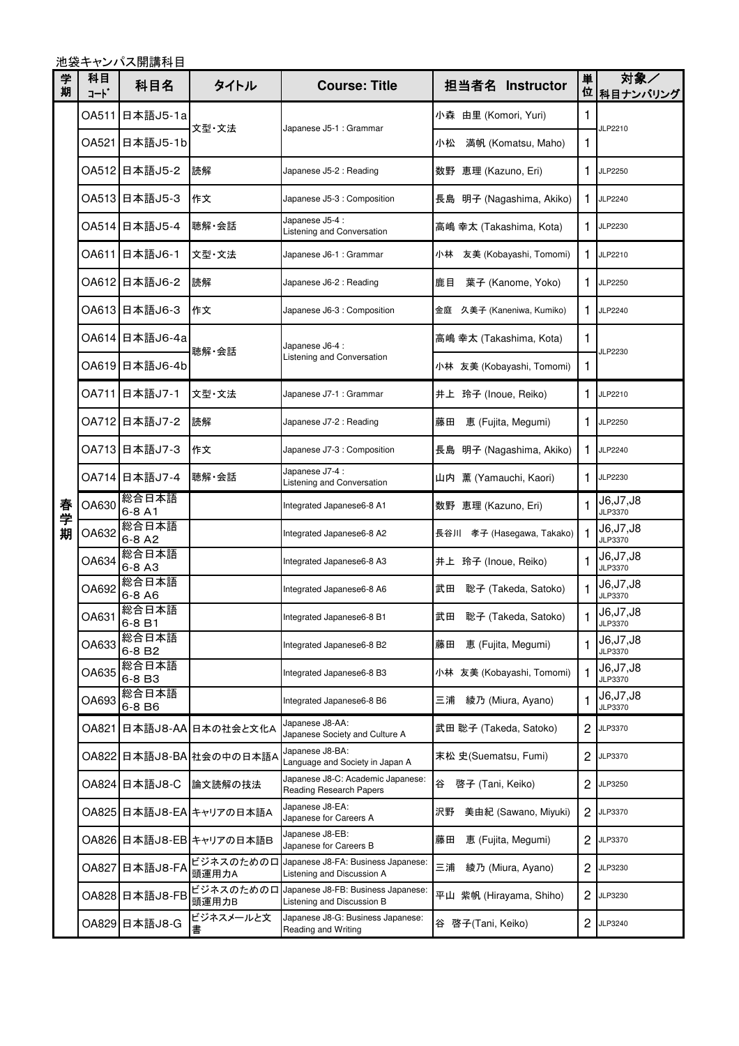池袋キャンパス開講科目

| 学<br>期 | 科目<br>コート゛ | 科目名                         | タイトル                     | <b>Course: Title</b>                                             | 担当者名 Instructor              | 単<br>位 | 対象/<br>科目ナンバリング       |
|--------|------------|-----------------------------|--------------------------|------------------------------------------------------------------|------------------------------|--------|-----------------------|
|        | OA511      | 日本語J5-1a                    | 文型·文法                    |                                                                  | 小森 由里 (Komori, Yuri)         | 1      | JLP2210               |
|        | OA521      | 日本語J5-1b                    |                          | Japanese J5-1 : Grammar                                          | 小松<br>満帆 (Komatsu, Maho)     | 1.     |                       |
|        |            | OA512 日本語J5-2               | 読解                       | Japanese J5-2 : Reading                                          | 数野 恵理 (Kazuno, Eri)          | 1.     | JLP2250               |
|        |            | OA513 日本語J5-3               | 作文                       | Japanese J5-3 : Composition                                      | 長島 明子 (Nagashima, Akiko)     | 1.     | JLP2240               |
|        |            | OA514 日本語J5-4               | 聴解·会話                    | Japanese J5-4 :<br>Listening and Conversation                    | 高嶋 幸太 (Takashima, Kota)      | 1      | JLP2230               |
|        | OA611      | 旧本語J6-1                     | 文型·文法                    | Japanese J6-1 : Grammar                                          | 友美 (Kobayashi, Tomomi)<br>小林 | 1.     | JLP2210               |
|        |            | OA612 日本語J6-2               | 読解                       | Japanese J6-2 : Reading                                          | 鹿目<br>葉子 (Kanome, Yoko)      | 1      | JLP2250               |
|        |            | OA613 日本語J6-3               | 作文                       | Japanese J6-3 : Composition                                      | 金庭 久美子 (Kaneniwa, Kumiko)    | 1.     | JLP2240               |
|        |            | OA614 日本語J6-4a              | 聴解·会話                    | Japanese J6-4 :                                                  | 高嶋 幸太 (Takashima, Kota)      | 1      | JLP2230               |
|        |            | OA619 日本語J6-4b              |                          | Listening and Conversation                                       | 小林 友美 (Kobayashi, Tomomi)    | 1      |                       |
|        |            | OA711 日本語J7-1               | 文型·文法                    | Japanese J7-1 : Grammar                                          | 井上 玲子 (Inoue, Reiko)         | 1      | JLP2210               |
|        |            | OA712 日本語J7-2               | 読解                       | Japanese J7-2 : Reading                                          | 恵 (Fujita, Megumi)<br>藤田     | 1      | JLP2250               |
|        |            | OA713 日本語J7-3               | 作文                       | Japanese J7-3 : Composition                                      | 明子 (Nagashima, Akiko)<br>長島  | 1.     | JLP2240               |
|        |            | OA714 日本語J7-4               | 聴解 会話                    | Japanese J7-4 :<br>Listening and Conversation                    | 山内 薫 (Yamauchi, Kaori)       | 1      | JLP2230               |
| 春学     | OA630      | 総合日本語<br>6-8 A1             |                          | Integrated Japanese6-8 A1                                        | 数野 恵理 (Kazuno, Eri)          |        | J6,J7,J8<br>JLP3370   |
| 期      | OA632      | 総合日本語<br>$6-8A2$            |                          | Integrated Japanese6-8 A2                                        | 長谷川 孝子 (Hasegawa, Takako)    | 1      | J6,J7,J8<br>JLP3370   |
|        | OA634      | 総合日本語<br>$6-8A3$            |                          | Integrated Japanese6-8 A3                                        | 井上 玲子 (Inoue, Reiko)         | 1      | J6,J7,J8<br>JLP3370   |
|        | OA692      | 総合日本語<br>6-8 A6             |                          | Integrated Japanese6-8 A6                                        | 武田<br>聡子 (Takeda, Satoko)    | 1      | J6,J7,J8<br>JLP3370   |
|        | OA631      | 総合日本語<br>6-8 B1             |                          | Integrated Japanese6-8 B1                                        | 武田<br>聡子 (Takeda, Satoko)    | 1      | J6, J7, J8<br>JLP3370 |
|        | OA633      | 総合日本語<br>6-8 B <sub>2</sub> |                          | Integrated Japanese6-8 B2                                        | 藤田<br>恵 (Fujita, Megumi)     |        | J6,J7,J8<br>JLP3370   |
|        | OA635      | 総合日本語<br>6-8 B3             |                          | Integrated Japanese6-8 B3                                        | 小林 友美 (Kobayashi, Tomomi)    | 1      | J6,J7,J8<br>JLP3370   |
|        | OA693      | 総合日本語<br>6-8 B6             |                          | Integrated Japanese6-8 B6                                        | 綾乃 (Miura, Ayano)<br>三浦      |        | J6,J7,J8<br>JLP3370   |
|        | OA821      |                             | 日本語J8-AA 日本の社会と文化A       | Japanese J8-AA:<br>Japanese Society and Culture A                | 武田 聡子 (Takeda, Satoko)       | 2      | JLP3370               |
|        |            |                             | OA822 日本語J8-BA 社会の中の日本語A | Japanese J8-BA:<br>Language and Society in Japan A               | 末松 史(Suematsu, Fumi)         | 2      | JLP3370               |
|        |            | OA824 日本語J8-C               | 論文読解の技法                  | Japanese J8-C: Academic Japanese:<br>Reading Research Papers     | 啓子 (Tani, Keiko)<br>谷        | 2      | JLP3250               |
|        |            |                             | OA825 日本語J8-EA キャリアの日本語A | Japanese J8-EA:<br>Japanese for Careers A                        | 美由紀 (Sawano, Miyuki)<br>沢野   | 2      | JLP3370               |
|        |            |                             | OA826 日本語J8-EB キャリアの日本語B | Japanese J8-EB:<br>Japanese for Careers B                        | 恵 (Fujita, Megumi)<br>藤田     | 2      | JLP3370               |
|        | OA827      | 日本語J8-FA                    | ビジネスのためのロ<br>頭運用力A       | Japanese J8-FA: Business Japanese:<br>Listening and Discussion A | 三浦<br>綾乃 (Miura, Ayano)      | 2      | JLP3230               |
|        | OA828      | 日本語J8-FB                    | ビジネスのためのロ<br>頭運用力B       | Japanese J8-FB: Business Japanese:<br>Listening and Discussion B | 平山 紫帆 (Hirayama, Shiho)      | 2      | JLP3230               |
|        |            | OA829 日本語J8-G               | ビジネスメールと文<br>書           | Japanese J8-G: Business Japanese:<br>Reading and Writing         | 谷 啓子(Tani, Keiko)            | 2      | JLP3240               |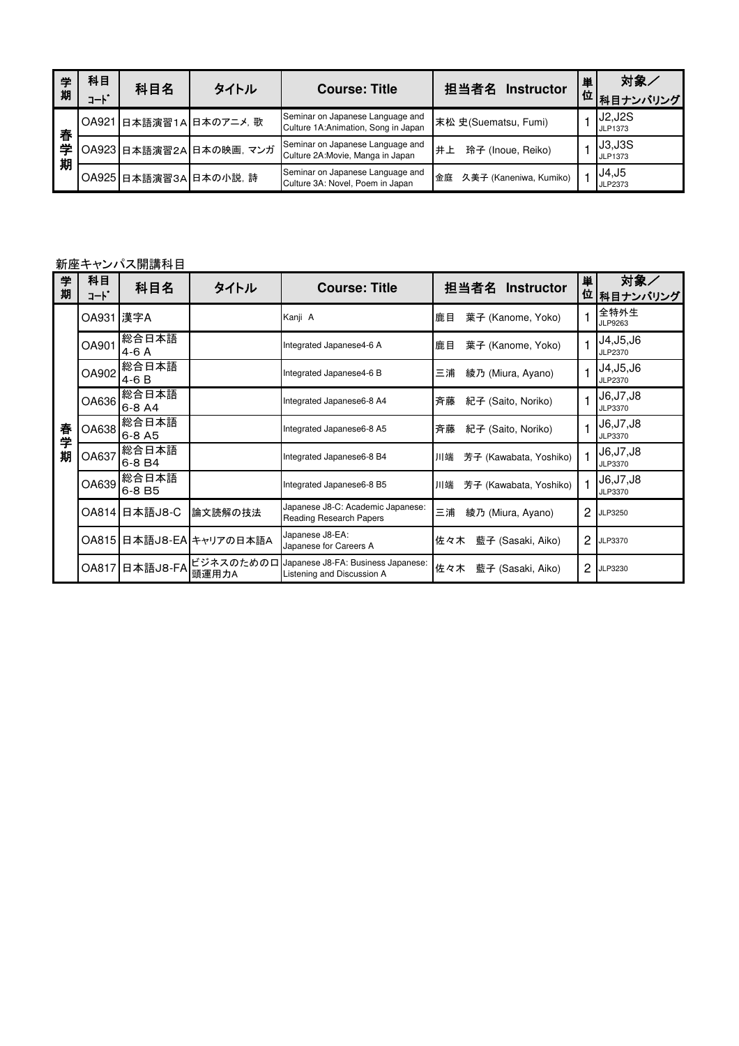| 学<br>期 | 科目<br>$-1$ | 科目名 | タイトル                     | <b>Course: Title</b>                                                    | 担当者名<br><b>Instructor</b>    | 単 | 対象/<br>- 位 科目ナンバリング |
|--------|------------|-----|--------------------------|-------------------------------------------------------------------------|------------------------------|---|---------------------|
| 春      |            |     | OA921 日本語演習1A 日本のアニメ, 歌  | Seminar on Japanese Language and<br>Culture 1A:Animation, Song in Japan | 末松 史(Suematsu, Fumi)         |   | J2,J2S<br>JLP1373   |
| 学<br>期 |            |     | OA923 日本語演習2A 日本の映画, マンガ | Seminar on Japanese Language and<br>Culture 2A: Movie, Manga in Japan   | 井上<br>玲子 (Inoue, Reiko)      |   | J3,J3S<br>JLP1373   |
|        |            |     | OA925 日本語演習3A 日本の小説, 詩   | Seminar on Japanese Language and<br>Culture 3A: Novel, Poem in Japan    | 久美子 (Kaneniwa, Kumiko)<br>金庭 |   | J4,J5<br>JLP2373    |

### 新座キャンパス開講科目

| 学<br>期 | 科目<br>コード    | 科目名                         | タイトル                     | <b>Course: Title</b>                                                       | 担当者名<br><b>Instructor</b>    | 単<br>位 | 対象∠<br>相目ナンバリング            |
|--------|--------------|-----------------------------|--------------------------|----------------------------------------------------------------------------|------------------------------|--------|----------------------------|
|        | OA931 漢字A    |                             |                          | Kanji A                                                                    | 鹿目<br>葉子 (Kanome, Yoko)      |        | 全特外生<br>JLP9263            |
|        | <b>OA901</b> | 総合日本語<br>$4-6A$             |                          | Integrated Japanese4-6 A                                                   | 葉子 (Kanome, Yoko)<br> 鹿目     |        | J4,J5,J6<br>JLP2370        |
|        | OA902        | 総合日本語 <br>$4-6B$            |                          | Integrated Japanese4-6 B                                                   | 綾乃 (Miura, Ayano)<br>三浦      |        | J4,J5,J6<br>JLP2370        |
|        | OA636        | 総合日本語<br>6-8 A4             |                          | Integrated Japanese6-8 A4                                                  | 紀子 (Saito, Noriko)<br>斉藤     |        | J6.J7.J8<br>JLP3370        |
| 春<br>学 | OA638        | 総合日本語<br>$6 - 8$ A5         |                          | Integrated Japanese6-8 A5                                                  | 紀子 (Saito, Noriko)<br>斉藤     |        | J6,J7,J8<br>JLP3370        |
| 期      | OA637        | 総合日本語<br>6-8 B4             |                          | Integrated Japanese6-8 B4                                                  | 芳子 (Kawabata, Yoshiko)<br>川端 |        | <b>J6,J7,J8</b><br>JLP3370 |
|        | OA639        | 総合日本語<br>6-8 B <sub>5</sub> |                          | Integrated Japanese6-8 B5                                                  | 川端<br>芳子 (Kawabata, Yoshiko) |        | J6.J7.J8<br>JLP3370        |
|        |              | OA814 日本語J8-C               | 論文読解の技法                  | Japanese J8-C: Academic Japanese:<br>Reading Research Papers               | 綾乃 (Miura, Ayano)<br>三浦      | 2      | JLP3250                    |
|        |              |                             | OA815 日本語J8-EA キャリアの日本語A | Japanese J8-EA:<br>Japanese for Careers A                                  | 藍子 (Sasaki, Aiko)<br> 佐々木    | 2      | JLP3370                    |
|        |              | OA817 日本語J8-FA              | 頭運用力A                    | ビジネスのための口 Japanese J8-FA: Business Japanese:<br>Listening and Discussion A | 佐々木<br>藍子 (Sasaki, Aiko)     | 2      | JLP3230                    |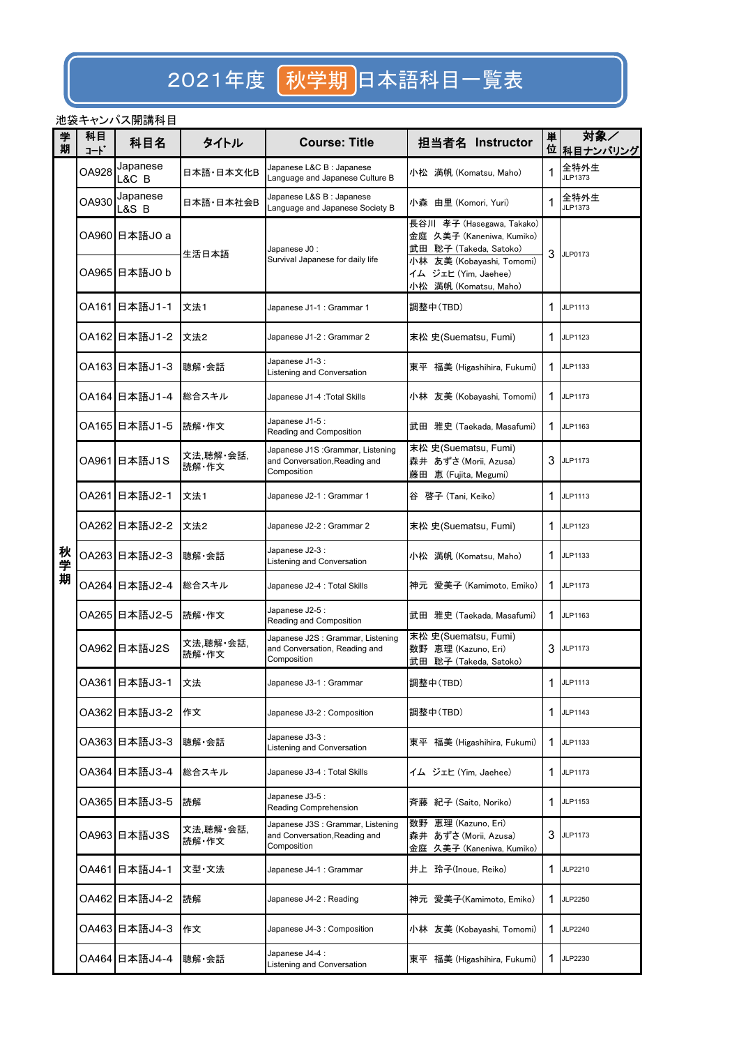## 2021年度 初学期日本語科目一覧表

### 池袋キャンパス開講科目

| 学<br>期 | 科目<br>コード | 科目名               | タイトル               | <b>Course: Title</b>                                                              | 担当者名 Instructor                                                                                               | 単  | 対象/<br>位 科目ナンバリング |
|--------|-----------|-------------------|--------------------|-----------------------------------------------------------------------------------|---------------------------------------------------------------------------------------------------------------|----|-------------------|
|        | OA928     | Japanese<br>L&C B | 日本語·日本文化B          | Japanese L&C B : Japanese<br>Language and Japanese Culture B                      | 小松   満帆 (Komatsu, Maho)                                                                                       | 1  | 全特外生<br>JLP1373   |
|        | OA930     | Japanese<br>L&S B | 日本語·日本社会B          | Japanese L&S B : Japanese<br>Language and Japanese Society B                      | 小森 由里 (Komori, Yuri)                                                                                          | 1  | 全特外生<br>JLP1373   |
|        |           | OA960 日本語JO a     | 生活日本語              | Japanese J0 :<br>Survival Japanese for daily life                                 | 長谷川 孝子 (Hasegawa, Takako)<br>金庭 久美子 (Kaneniwa, Kumiko)<br>武田 聡子 (Takeda, Satoko)<br>小林 友美 (Kobayashi, Tomomi) | 3  | JLP0173           |
|        |           | OA965 日本語JO b     |                    |                                                                                   | イム ジェヒ (Yim, Jaehee)<br>小松 満帆 (Komatsu, Maho)                                                                 |    |                   |
|        |           | OA161 日本語J1-1     | 文法1                | Japanese J1-1 : Grammar 1                                                         | 調整中(TBD)                                                                                                      | 1  | JLP1113           |
|        |           | OA162 日本語J1-2     | 文法2                | Japanese J1-2 : Grammar 2                                                         | 末松 史(Suematsu, Fumi)                                                                                          | 1  | JLP1123           |
|        |           | OA163 日本語J1-3     | 聴解·会話              | Japanese J1-3 :<br>Listening and Conversation                                     | 東平 福美 (Higashihira, Fukumi)                                                                                   | 1  | JLP1133           |
|        |           | OA164 日本語J1-4     | 総合スキル              | Japanese J1-4 : Total Skills                                                      | 小林 友美 (Kobayashi, Tomomi)                                                                                     | 1  | JLP1173           |
|        |           | OA165 日本語J1-5     | 読解・作文              | Japanese J1-5 :<br>Reading and Composition                                        | 武田 雅史 (Taekada, Masafumi)                                                                                     | 1  | JLP1163           |
|        |           | OA961 日本語J1S      | 文法,聴解・会話,<br>読解・作文 | Japanese J1S : Grammar, Listening<br>and Conversation, Reading and<br>Composition | 末松 史(Suematsu, Fumi)<br>森井 あずさ (Morii, Azusa)<br>藤田 恵 (Fujita, Megumi)                                        |    | 3 JLP1173         |
|        |           | OA261 日本語J2-1     | 文法1                | Japanese J2-1 : Grammar 1                                                         | 谷 啓子 (Tani, Keiko)                                                                                            | 1. | JLP1113           |
|        |           | OA262 日本語J2-2     | 文法2                | Japanese J2-2 : Grammar 2                                                         | 末松 史(Suematsu, Fumi)                                                                                          | 1  | JLP1123           |
| 秋学     |           | OA263 日本語J2-3     | 聴解·会話              | Japanese J2-3 :<br>Listening and Conversation                                     | 小松 満帆 (Komatsu, Maho)                                                                                         | 1. | JLP1133           |
| 期      |           | OA264 日本語J2-4     | 総合スキル              | Japanese J2-4 : Total Skills                                                      | 神元 愛美子 (Kamimoto, Emiko)                                                                                      | 1  | JLP1173           |
|        |           | OA265 日本語J2-5     | 読解・作文              | Japanese J2-5 :<br>Reading and Composition                                        | 武田 雅史 (Taekada, Masafumi)                                                                                     | 1  | JLP1163           |
|        |           | OA962 日本語J2S      | 文法,聴解 会話,<br>読解·作文 | Japanese J2S : Grammar, Listening<br>and Conversation, Reading and<br>Composition | 末松 史(Suematsu, Fumi)<br>数野 恵理 (Kazuno, Eri)<br>武田 聡子 (Takeda, Satoko)                                         | 3  | JLP1173           |
|        |           | OA361 日本語J3-1     | 文法                 | Japanese J3-1 : Grammar                                                           | 調整中(TBD)                                                                                                      |    | 1 JLP1113         |
|        |           | OA362 日本語J3-2     | 作文                 | Japanese J3-2 : Composition                                                       | 調整中(TBD)                                                                                                      |    | 1 JLP1143         |
|        |           | OA363 日本語J3-3     | 聴解·会話              | Japanese J3-3 :<br>Listening and Conversation                                     | 東平 福美 (Higashihira, Fukumi)                                                                                   | 1  | JLP1133           |
|        |           | OA364 日本語J3-4     | 総合スキル              | Japanese J3-4 : Total Skills                                                      | イム ジェヒ (Yim, Jaehee)                                                                                          | 1. | JLP1173           |
|        |           | OA365 日本語J3-5     | 読解                 | Japanese J3-5 :<br>Reading Comprehension                                          | 斉藤 紀子 (Saito, Noriko)                                                                                         | 1. | JLP1153           |
|        |           | OA963 日本語J3S      | 文法,聴解・会話,<br>読解・作文 | Japanese J3S : Grammar, Listening<br>and Conversation, Reading and<br>Composition | 数野 恵理 (Kazuno, Eri)<br>森井 あずさ (Morii, Azusa)<br>金庭 久美子 (Kaneniwa, Kumiko)                                     | 3  | JLP1173           |
|        |           | OA461 日本語J4-1     | 文型·文法              | Japanese J4-1 : Grammar                                                           | 井上 玲子(Inoue, Reiko)                                                                                           | 1  | JLP2210           |
|        |           | OA462 日本語J4-2     | 読解                 | Japanese J4-2 : Reading                                                           | 神元 愛美子(Kamimoto, Emiko)                                                                                       |    | 1 JLP2250         |
|        |           | OA463 日本語J4-3     | 作文                 | Japanese J4-3 : Composition                                                       | 小林 友美 (Kobayashi, Tomomi)                                                                                     | 1  | JLP2240           |
|        |           | OA464 日本語J4-4     | 聴解·会話              | Japanese J4-4 :<br>Listening and Conversation                                     | 東平 福美 (Higashihira, Fukumi)                                                                                   | 1  | JLP2230           |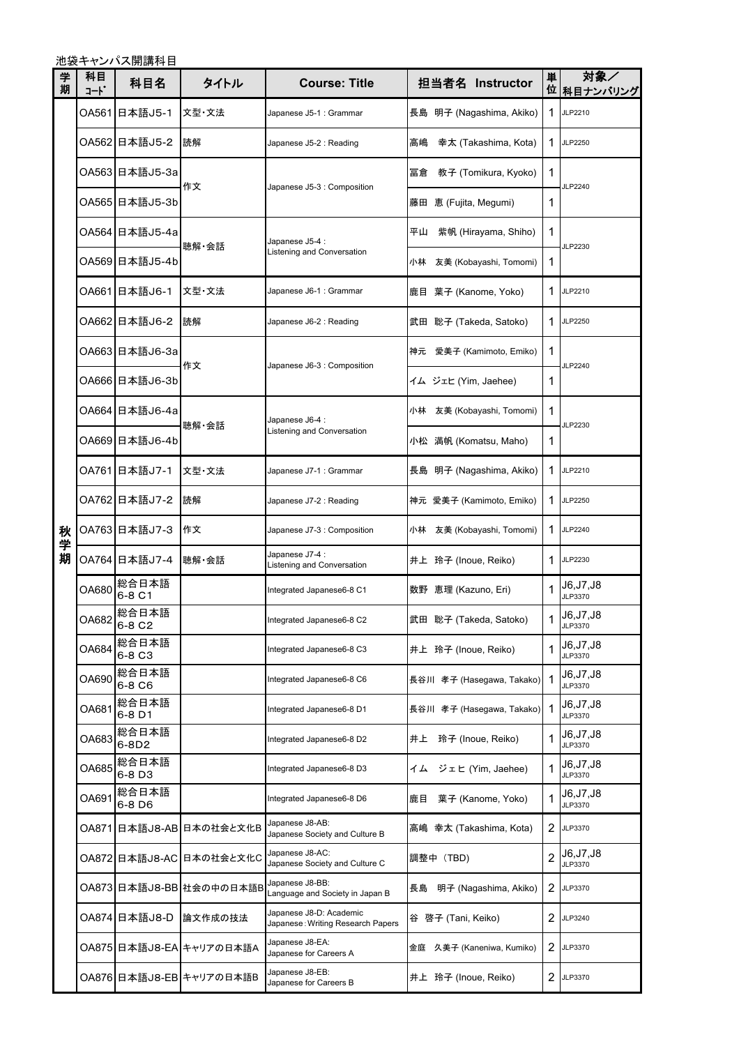池袋キャンパス開講科目

| 学<br>期 | 科目<br>コート | 科目名             | タイトル                     | <b>Course: Title</b>                                          | 担当者名 Instructor              | 単 | 対象/<br>位 科目ナンバリング     |
|--------|-----------|-----------------|--------------------------|---------------------------------------------------------------|------------------------------|---|-----------------------|
|        |           | OA561 日本語J5-1   | 文型·文法                    | Japanese J5-1 : Grammar                                       | 長島 明子 (Nagashima, Akiko)     | 1 | JLP2210               |
|        |           | OA562 日本語J5-2   | 読解                       | Japanese J5-2 : Reading                                       | 高嶋<br>幸太 (Takashima, Kota)   | 1 | JLP2250               |
|        |           | OA563 日本語J5-3a  | 作文                       |                                                               | 冨倉<br>教子 (Tomikura, Kyoko)   | 1 | JLP2240               |
|        |           | OA565 日本語J5-3b  |                          | Japanese J5-3 : Composition                                   | 藤田 恵 (Fujita, Megumi)        | 1 |                       |
|        |           | OA564 日本語J5-4a  | 聴解·会話                    | Japanese J5-4 :                                               | 平山<br>紫帆 (Hirayama, Shiho)   | 1 | JLP2230               |
|        |           | OA569 日本語J5-4b  |                          | Listening and Conversation                                    | 友美 (Kobayashi, Tomomi)<br>小林 | 1 |                       |
|        |           | OA661 日本語J6-1   | 文型 文法                    | Japanese J6-1 : Grammar                                       | 鹿目 葉子 (Kanome, Yoko)         | 1 | JLP2210               |
|        |           | OA662 日本語J6-2   | 読解                       | Japanese J6-2 : Reading                                       | 武田 聡子 (Takeda, Satoko)       | 1 | JLP2250               |
|        |           | OA663 日本語J6-3a  | 作文                       | Japanese J6-3 : Composition                                   | 神元 愛美子 (Kamimoto, Emiko)     | 1 | JLP2240               |
|        |           | OA666 日本語J6-3b  |                          |                                                               | イム ジェヒ (Yim, Jaehee)         | 1 |                       |
|        |           | OA664 日本語J6-4a  |                          | Japanese J6-4 :                                               | 友美 (Kobayashi, Tomomi)<br>小林 | 1 | JLP2230               |
|        |           | OA669 日本語J6-4b  | 聴解·会話                    | Listening and Conversation                                    | 小松 満帆 (Komatsu, Maho)        | 1 |                       |
|        |           | OA761 日本語J7-1   | 文型·文法                    | Japanese J7-1 : Grammar                                       | 長島 明子 (Nagashima, Akiko)     | 1 | JLP2210               |
|        |           | OA762 日本語J7-2   | 読解                       | Japanese J7-2 : Reading                                       | 神元 愛美子 (Kamimoto, Emiko)     | 1 | JLP2250               |
| 秋<br>学 |           | OA763 日本語J7-3   | 作文                       | Japanese J7-3 : Composition                                   | 小林<br>友美 (Kobayashi, Tomomi) | 1 | JLP2240               |
| 期      |           | OA764 日本語J7-4   | 聴解·会話                    | Japanese J7-4 :<br>Listening and Conversation                 | 井上 玲子 (Inoue, Reiko)         | 1 | JLP2230               |
|        | OA680     | 総合日本語<br>6-8 C1 |                          | Integrated Japanese6-8 C1                                     | 数野 恵理 (Kazuno, Eri)          | 1 | J6, J7, J8<br>JLP3370 |
|        | OA682     | 総合日本語<br>6-8 C2 |                          | Integrated Japanese6-8 C2                                     | 武田 聡子 (Takeda, Satoko)       | 1 | J6, J7, J8<br>JLP3370 |
|        | OA684     | 総合日本語<br>6-8 C3 |                          | Integrated Japanese6-8 C3                                     | 井上 玲子 (Inoue, Reiko)         | 1 | J6, J7, J8<br>JLP3370 |
|        | OA690     | 総合日本語<br>6-8 C6 |                          | Integrated Japanese6-8 C6                                     | 長谷川 孝子 (Hasegawa, Takako)    | 1 | J6, J7, J8<br>JLP3370 |
|        | OA681     | 総合日本語<br>6-8 D1 |                          | Integrated Japanese6-8 D1                                     | 長谷川 孝子 (Hasegawa, Takako)    | 1 | J6, J7, J8<br>JLP3370 |
|        | OA683     | 総合日本語<br>6-8D2  |                          | Integrated Japanese6-8 D2                                     | 井上<br>玲子 (Inoue, Reiko)      | 1 | J6, J7, J8<br>JLP3370 |
|        | OA685     | 総合日本語<br>6-8 D3 |                          | Integrated Japanese6-8 D3                                     | ジェヒ (Yim, Jaehee)<br>イム      | 1 | J6, J7, J8<br>JLP3370 |
|        | OA691     | 総合日本語<br>6-8 D6 |                          | Integrated Japanese6-8 D6                                     | 葉子 (Kanome, Yoko)<br>鹿目      | 1 | J6, J7, J8<br>JLP3370 |
|        | OA871     |                 | 日本語J8-AB 日本の社会と文化B       | Japanese J8-AB:<br>Japanese Society and Culture B             | 高嶋 幸太 (Takashima, Kota)      | 2 | JLP3370               |
|        | OA872I    |                 | 日本語J8-AC 日本の社会と文化C       | Japanese J8-AC:<br>Japanese Society and Culture C             | 調整中 (TBD)                    | 2 | J6, J7, J8<br>JLP3370 |
|        |           |                 | OA873 日本語J8-BB 社会の中の日本語B | Japanese J8-BB:<br>Language and Society in Japan B            | 長島<br>明子 (Nagashima, Akiko)  | 2 | JLP3370               |
|        |           | OA874 日本語J8-D   | 論文作成の技法                  | Japanese J8-D: Academic<br>Japanese : Writing Research Papers | 谷 啓子 (Tani, Keiko)           | 2 | JLP3240               |
|        |           |                 | OA875 日本語J8-EA キャリアの日本語A | Japanese J8-EA:<br>Japanese for Careers A                     | 久美子 (Kaneniwa, Kumiko)<br>金庭 | 2 | JLP3370               |
|        |           |                 | OA876 日本語J8-EB キャリアの日本語B | Japanese J8-EB:<br>Japanese for Careers B                     | 井上 玲子 (Inoue, Reiko)         | 2 | JLP3370               |